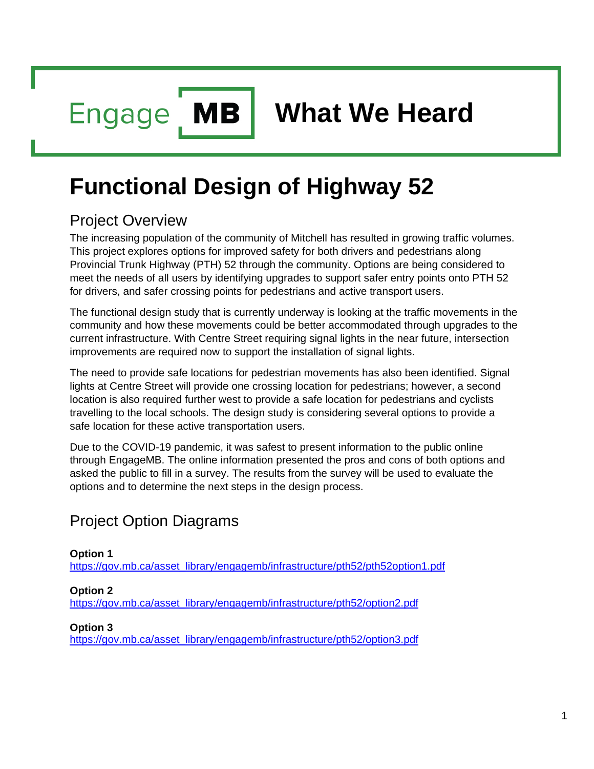**MB Engage** 

# **Functional Design of Highway 52**

# Project Overview

The increasing population of the community of Mitchell has resulted in growing traffic volumes. This project explores options for improved safety for both drivers and pedestrians along Provincial Trunk Highway (PTH) 52 through the community. Options are being considered to meet the needs of all users by identifying upgrades to support safer entry points onto PTH 52 for drivers, and safer crossing points for pedestrians and active transport users.

The functional design study that is currently underway is looking at the traffic movements in the community and how these movements could be better accommodated through upgrades to the current infrastructure. With Centre Street requiring signal lights in the near future, intersection improvements are required now to support the installation of signal lights.

The need to provide safe locations for pedestrian movements has also been identified. Signal lights at Centre Street will provide one crossing location for pedestrians; however, a second location is also required further west to provide a safe location for pedestrians and cyclists travelling to the local schools. The design study is considering several options to provide a safe location for these active transportation users.

Due to the COVID-19 pandemic, it was safest to present information to the public online through EngageMB. The online information presented the pros and cons of both options and asked the public to fill in a survey. The results from the survey will be used to evaluate the options and to determine the next steps in the design process.

# Project Option Diagrams

### **Option 1**

[https://gov.mb.ca/asset\\_library/engagemb/infrastructure/pth52/pth52option1.pdf](https://gov.mb.ca/asset_library/engagemb/infrastructure/pth52/pth52option1.pdf)

### **Option 2**

[https://gov.mb.ca/asset\\_library/engagemb/infrastructure/pth52/option2.pdf](https://gov.mb.ca/asset_library/engagemb/infrastructure/pth52/option2.pdf)

### **Option 3**

[https://gov.mb.ca/asset\\_library/engagemb/infrastructure/pth52/option3.pdf](https://gov.mb.ca/asset_library/engagemb/infrastructure/pth52/option3.pdf)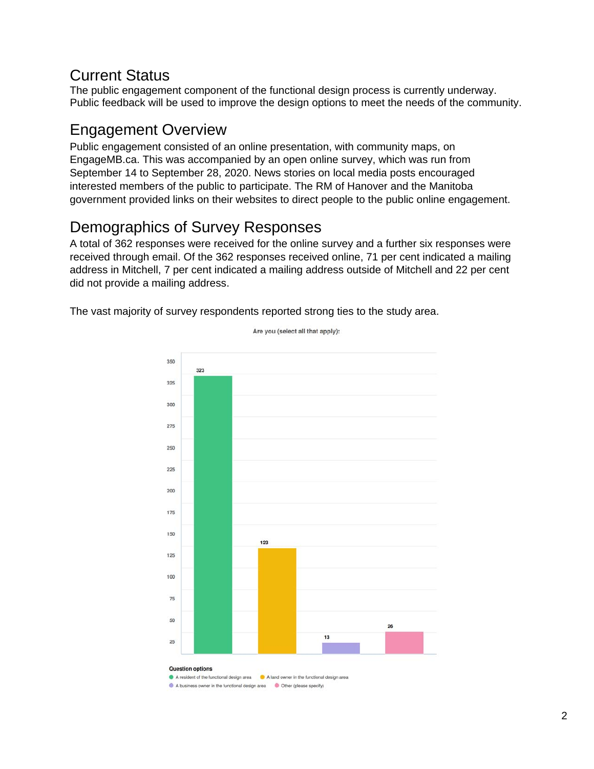# Current Status

The public engagement component of the functional design process is currently underway. Public feedback will be used to improve the design options to meet the needs of the community.

# Engagement Overview

Public engagement consisted of an online presentation, with community maps, on EngageMB.ca. This was accompanied by an open online survey, which was run from September 14 to September 28, 2020. News stories on local media posts encouraged interested members of the public to participate. The RM of Hanover and the Manitoba government provided links on their websites to direct people to the public online engagement.

# Demographics of Survey Responses

A total of 362 responses were received for the online survey and a further six responses were received through email. Of the 362 responses received online, 71 per cent indicated a mailing address in Mitchell, 7 per cent indicated a mailing address outside of Mitchell and 22 per cent did not provide a mailing address.

The vast majority of survey respondents reported strong ties to the study area.



Are you (select all that apply):

A business owner in the functional design area Q Other (please specify)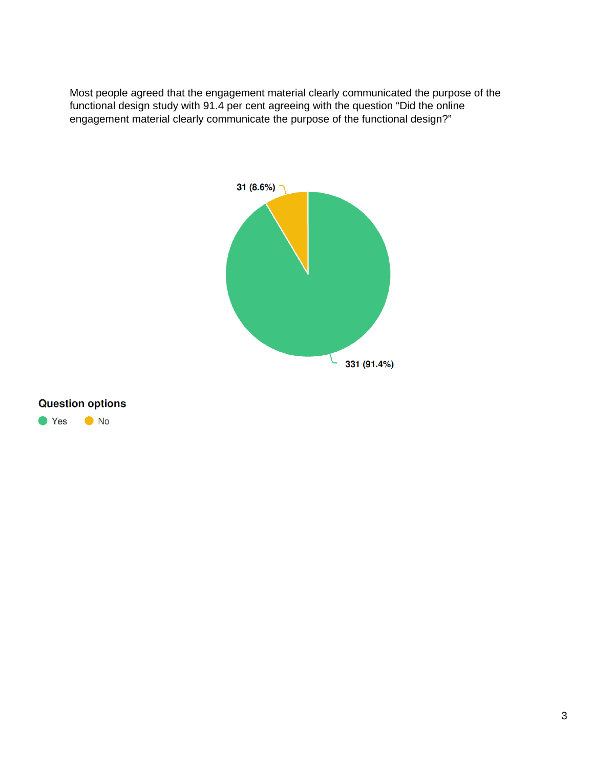Most people agreed that the engagement material clearly communicated the purpose of the functional design study with 91.4 per cent agreeing with the question "Did the online engagement material clearly communicate the purpose of the functional design?"



### **Question options**

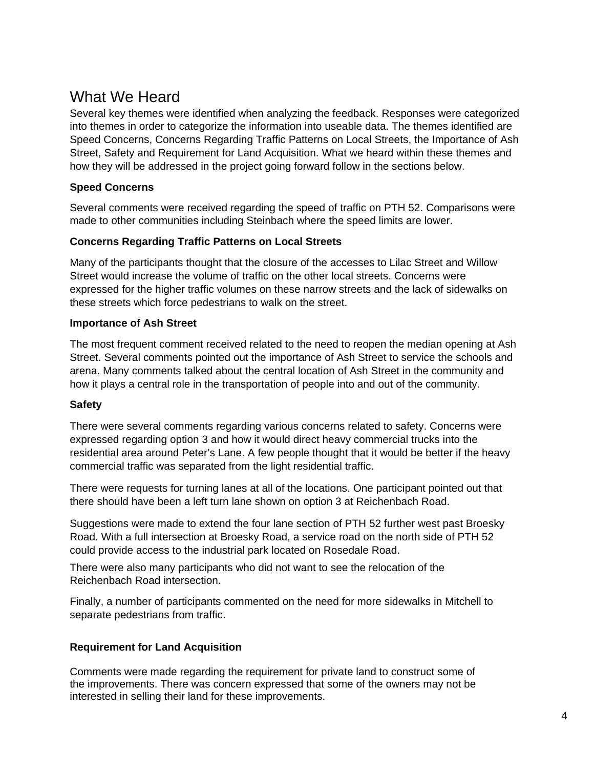# What We Heard

Several key themes were identified when analyzing the feedback. Responses were categorized into themes in order to categorize the information into useable data. The themes identified are Speed Concerns, Concerns Regarding Traffic Patterns on Local Streets, the Importance of Ash Street, Safety and Requirement for Land Acquisition. What we heard within these themes and how they will be addressed in the project going forward follow in the sections below.

### **Speed Concerns**

Several comments were received regarding the speed of traffic on PTH 52. Comparisons were made to other communities including Steinbach where the speed limits are lower.

### **Concerns Regarding Traffic Patterns on Local Streets**

Many of the participants thought that the closure of the accesses to Lilac Street and Willow Street would increase the volume of traffic on the other local streets. Concerns were expressed for the higher traffic volumes on these narrow streets and the lack of sidewalks on these streets which force pedestrians to walk on the street.

### **Importance of Ash Street**

The most frequent comment received related to the need to reopen the median opening at Ash Street. Several comments pointed out the importance of Ash Street to service the schools and arena. Many comments talked about the central location of Ash Street in the community and how it plays a central role in the transportation of people into and out of the community.

### **Safety**

There were several comments regarding various concerns related to safety. Concerns were expressed regarding option 3 and how it would direct heavy commercial trucks into the residential area around Peter's Lane. A few people thought that it would be better if the heavy commercial traffic was separated from the light residential traffic.

There were requests for turning lanes at all of the locations. One participant pointed out that there should have been a left turn lane shown on option 3 at Reichenbach Road.

Suggestions were made to extend the four lane section of PTH 52 further west past Broesky Road. With a full intersection at Broesky Road, a service road on the north side of PTH 52 could provide access to the industrial park located on Rosedale Road.

There were also many participants who did not want to see the relocation of the Reichenbach Road intersection.

Finally, a number of participants commented on the need for more sidewalks in Mitchell to separate pedestrians from traffic.

### **Requirement for Land Acquisition**

Comments were made regarding the requirement for private land to construct some of the improvements. There was concern expressed that some of the owners may not be interested in selling their land for these improvements.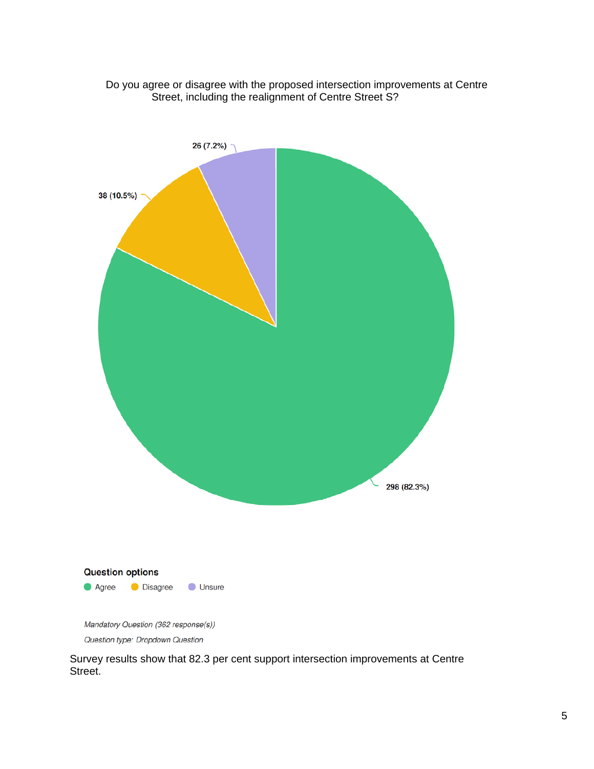



Question type: Dropdown Question

Survey results show that 82.3 per cent support intersection improvements at Centre Street.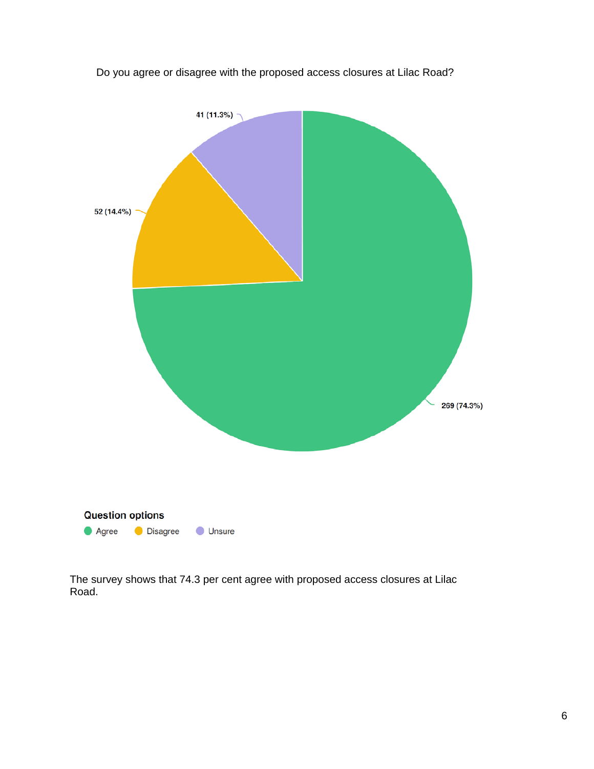

Do you agree or disagree with the proposed access closures at Lilac Road?

The survey shows that 74.3 per cent agree with proposed access closures at Lilac Road.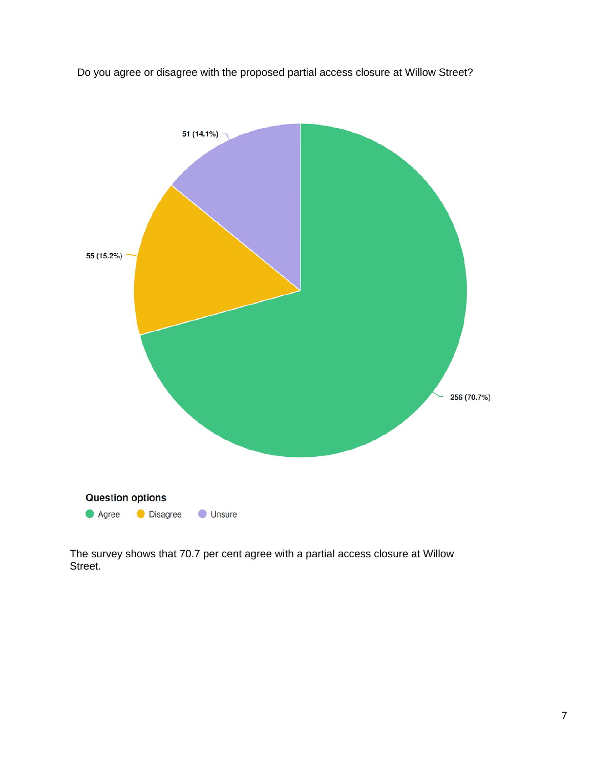Do you agree or disagree with the proposed partial access closure at Willow Street?



The survey shows that 70.7 per cent agree with a partial access closure at Willow Street.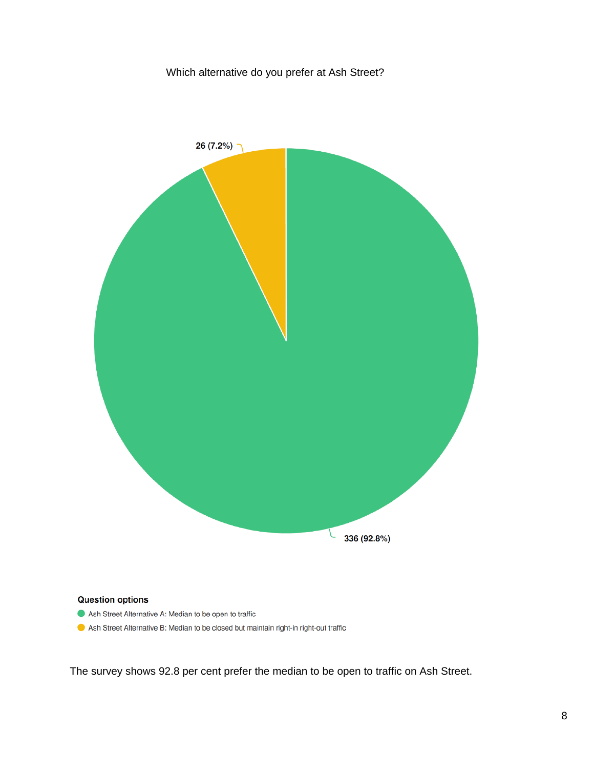

Ash Street Alternative A: Median to be open to traffic

Ash Street Alternative B: Median to be closed but maintain right-in right-out traffic

The survey shows 92.8 per cent prefer the median to be open to traffic on Ash Street.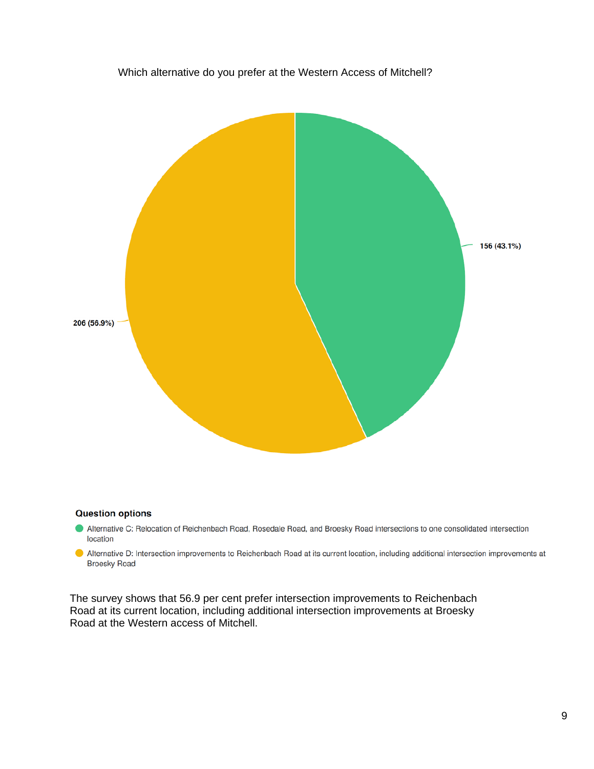# Which alternative do you prefer at the Western Access of Mitchell? 156 (43.1%) 206 (56.9%)

### **Question options**

- Alternative C: Relocation of Reichenbach Road, Rosedale Road, and Broesky Road intersections to one consolidated intersection location
- Alternative D: Intersection improvements to Reichenbach Road at its current location, including additional intersection improvements at **Broesky Road**

The survey shows that 56.9 per cent prefer intersection improvements to Reichenbach Road at its current location, including additional intersection improvements at Broesky Road at the Western access of Mitchell.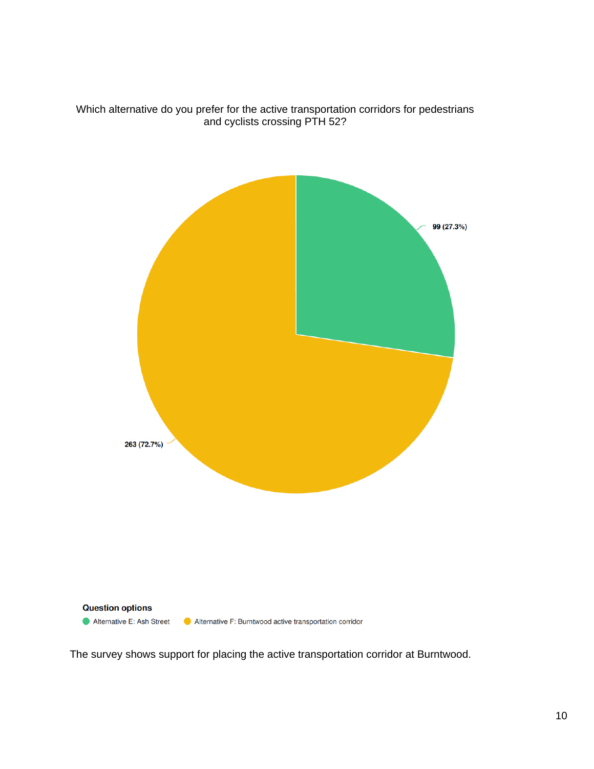

Which alternative do you prefer for the active transportation corridors for pedestrians and cyclists crossing PTH 52?

The survey shows support for placing the active transportation corridor at Burntwood.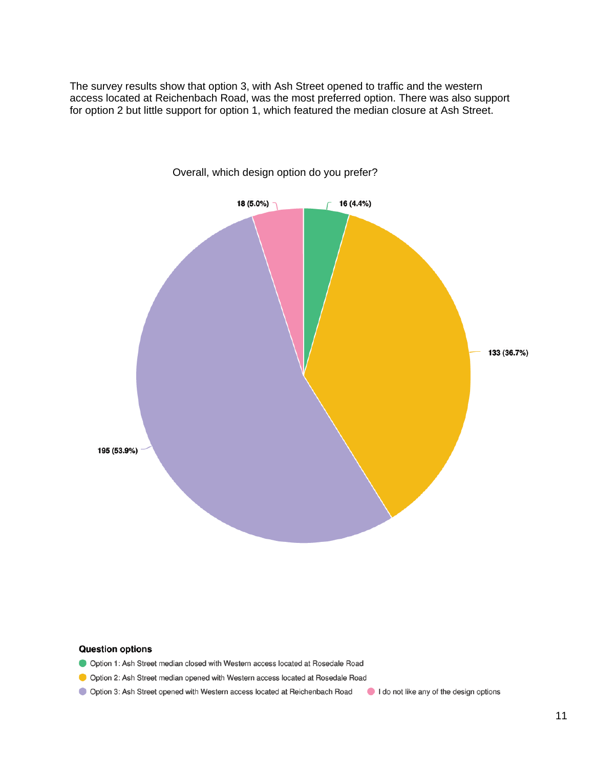The survey results show that option 3, with Ash Street opened to traffic and the western access located at Reichenbach Road, was the most preferred option. There was also support for option 2 but little support for option 1, which featured the median closure at Ash Street.



Overall, which design option do you prefer?

### **Question options**

- Option 1: Ash Street median closed with Western access located at Rosedale Road
- Option 2: Ash Street median opened with Western access located at Rosedale Road
- Option 3: Ash Street opened with Western access located at Reichenbach Road

I do not like any of the design options